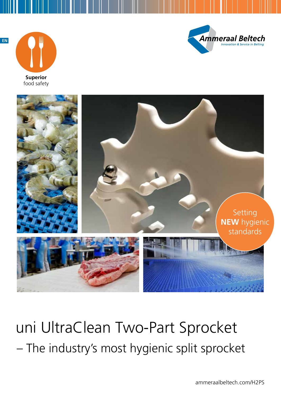



**Superior Figure:** 





uni UltraClean Two-Part Sprocket – The industry's most hygienic split sprocket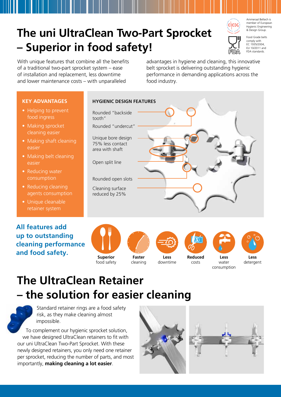# **The uni UltraClean Two-Part Sprocket – Superior in food safety!**



Ammeraal Beltech is member of European Hygienic Engineering & Design Group.



Food Grade belts comply with EC 1935/2004, EU 10/2011 and FDA standards.

With unique features that combine all the benefits of a traditional two-part sprocket system – ease of installation and replacement, less downtime and lower maintenance costs – with unparalleled

advantages in hygiene and cleaning, this innovative belt sprocket is delivering outstanding hygienic performance in demanding applications across the food industry.

### **KEY ADVANTAGES**

- Helping to prevent food ingress
- Making sprocket cleaning easier
- Making shaft cleaning easier
- Making belt cleaning easier
- Reducing water consumption
- Reducing cleaning agents consumption
- Unique cleanable retainer system

### **All features add up to outstanding cleaning performance and food safety.**

### **HYGIENIC DESIGN FEATURES**

- Rounded "backside tooth"
- Rounded "undercut"
- Unique bore design 75% less contact area with shaft
- Open split line
- Rounded open slots
- Cleaning surface reduced by 25%







cleaning



downtime



costs



water **Less**



consumption water consumption **Less**  detergent **Less** detergent

### **The UltraClean Retainer – the solution for easier cleaning**



Standard retainer rings are a food safety risk, as they make cleaning almost impossible.

To complement our hygienic sprocket solution, we have designed UltraClean retainers to fit with our uni UltraClean Two-Part Sprocket. With these newly designed retainers, you only need one retainer per sprocket, reducing the number of parts, and most importantly, **making cleaning a lot easier**.

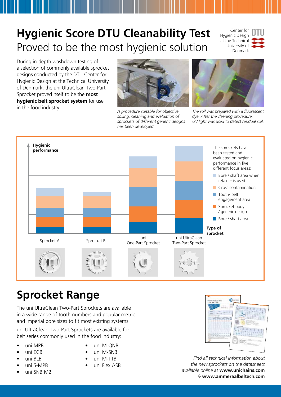## **Hygienic Score DTU Cleanability Test** Proved to be the most hygienic solution

Center for Hygienic Design at the Technical University of Denmark



During in-depth washdown testing of a selection of commonly available sprocket designs conducted by the DTU Center for Hygienic Design at the Technical University of Denmark, the uni UltraClean Two-Part Sprocket proved itself to be the **most hygienic belt sprocket system** for use in the food industry. *A procedure suitable for objective* 



*soiling, cleaning and evaluation of sprockets of different generic designs has been developed.*



*The soil was prepared with a fluorescent dye. After the cleaning procedure, UV light was used to detect residual soil.*



### **Sprocket Range**

The uni UltraClean Two-Part Sprockets are available in a wide range of tooth numbers and popular metric and imperial bore sizes to fit most existing systems.

uni UltraClean Two-Part Sprockets are available for belt series commonly used in the food industry:

- uni MPB
- uni ECB
- uni BLB
- uni S-MPB
- uni SNB M2
- uni M-ONB
- uni M-SNB
- uni M-TTB
- uni Flex ASB



*Find all technical information about the new sprockets on the datasheets available online at* **www.unichains.com** *&* **www.ammeraalbeltech.com**